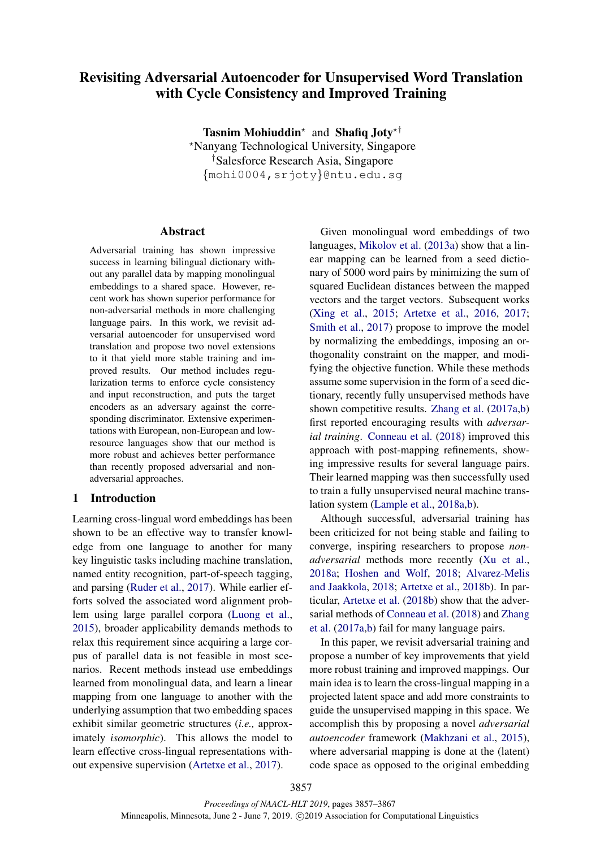# Revisiting Adversarial Autoencoder for Unsupervised Word Translation with Cycle Consistency and Improved Training

Tasnim Mohiuddin<sup>\*</sup> and Shafiq Joty<sup>\*†</sup> ?Nanyang Technological University, Singapore †Salesforce Research Asia, Singapore {mohi0004,srjoty}@ntu.edu.sg

## Abstract

Adversarial training has shown impressive success in learning bilingual dictionary without any parallel data by mapping monolingual embeddings to a shared space. However, recent work has shown superior performance for non-adversarial methods in more challenging language pairs. In this work, we revisit adversarial autoencoder for unsupervised word translation and propose two novel extensions to it that yield more stable training and improved results. Our method includes regularization terms to enforce cycle consistency and input reconstruction, and puts the target encoders as an adversary against the corresponding discriminator. Extensive experimentations with European, non-European and lowresource languages show that our method is more robust and achieves better performance than recently proposed adversarial and nonadversarial approaches.

## 1 Introduction

Learning cross-lingual word embeddings has been shown to be an effective way to transfer knowledge from one language to another for many key linguistic tasks including machine translation, named entity recognition, part-of-speech tagging, and parsing (Ruder et al., 2017). While earlier efforts solved the associated word alignment problem using large parallel corpora (Luong et al., 2015), broader applicability demands methods to relax this requirement since acquiring a large corpus of parallel data is not feasible in most scenarios. Recent methods instead use embeddings learned from monolingual data, and learn a linear mapping from one language to another with the underlying assumption that two embedding spaces exhibit similar geometric structures (*i.e.,* approximately *isomorphic*). This allows the model to learn effective cross-lingual representations without expensive supervision (Artetxe et al., 2017).

Given monolingual word embeddings of two languages, Mikolov et al. (2013a) show that a linear mapping can be learned from a seed dictionary of 5000 word pairs by minimizing the sum of squared Euclidean distances between the mapped vectors and the target vectors. Subsequent works (Xing et al., 2015; Artetxe et al., 2016, 2017; Smith et al., 2017) propose to improve the model by normalizing the embeddings, imposing an orthogonality constraint on the mapper, and modifying the objective function. While these methods assume some supervision in the form of a seed dictionary, recently fully unsupervised methods have shown competitive results. Zhang et al. (2017a,b) first reported encouraging results with *adversarial training*. Conneau et al. (2018) improved this approach with post-mapping refinements, showing impressive results for several language pairs. Their learned mapping was then successfully used to train a fully unsupervised neural machine translation system (Lample et al., 2018a,b).

Although successful, adversarial training has been criticized for not being stable and failing to converge, inspiring researchers to propose *nonadversarial* methods more recently (Xu et al., 2018a; Hoshen and Wolf, 2018; Alvarez-Melis and Jaakkola, 2018; Artetxe et al., 2018b). In particular, Artetxe et al. (2018b) show that the adversarial methods of Conneau et al. (2018) and Zhang et al. (2017a,b) fail for many language pairs.

In this paper, we revisit adversarial training and propose a number of key improvements that yield more robust training and improved mappings. Our main idea is to learn the cross-lingual mapping in a projected latent space and add more constraints to guide the unsupervised mapping in this space. We accomplish this by proposing a novel *adversarial autoencoder* framework (Makhzani et al., 2015), where adversarial mapping is done at the (latent) code space as opposed to the original embedding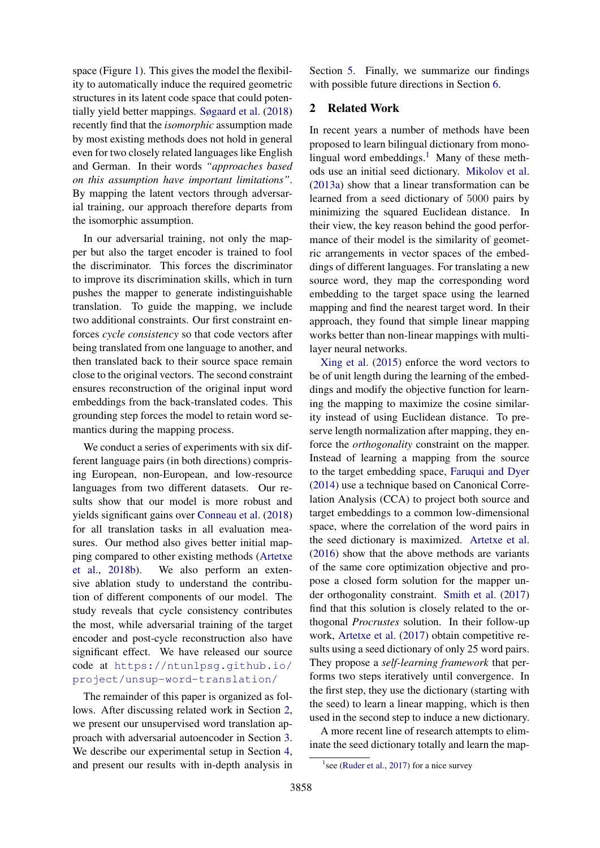space (Figure 1). This gives the model the flexibility to automatically induce the required geometric structures in its latent code space that could potentially yield better mappings. Søgaard et al. (2018) recently find that the *isomorphic* assumption made by most existing methods does not hold in general even for two closely related languages like English and German. In their words *"approaches based on this assumption have important limitations"*. By mapping the latent vectors through adversarial training, our approach therefore departs from the isomorphic assumption.

In our adversarial training, not only the mapper but also the target encoder is trained to fool the discriminator. This forces the discriminator to improve its discrimination skills, which in turn pushes the mapper to generate indistinguishable translation. To guide the mapping, we include two additional constraints. Our first constraint enforces *cycle consistency* so that code vectors after being translated from one language to another, and then translated back to their source space remain close to the original vectors. The second constraint ensures reconstruction of the original input word embeddings from the back-translated codes. This grounding step forces the model to retain word semantics during the mapping process.

We conduct a series of experiments with six different language pairs (in both directions) comprising European, non-European, and low-resource languages from two different datasets. Our results show that our model is more robust and yields significant gains over Conneau et al. (2018) for all translation tasks in all evaluation measures. Our method also gives better initial mapping compared to other existing methods (Artetxe et al., 2018b). We also perform an extensive ablation study to understand the contribution of different components of our model. The study reveals that cycle consistency contributes the most, while adversarial training of the target encoder and post-cycle reconstruction also have significant effect. We have released our source code at https://ntunlpsg.github.io/ project/unsup-word-translation/

The remainder of this paper is organized as follows. After discussing related work in Section 2, we present our unsupervised word translation approach with adversarial autoencoder in Section 3. We describe our experimental setup in Section 4, and present our results with in-depth analysis in Section 5. Finally, we summarize our findings with possible future directions in Section 6.

# 2 Related Work

In recent years a number of methods have been proposed to learn bilingual dictionary from monolingual word embeddings.<sup>1</sup> Many of these methods use an initial seed dictionary. Mikolov et al. (2013a) show that a linear transformation can be learned from a seed dictionary of 5000 pairs by minimizing the squared Euclidean distance. In their view, the key reason behind the good performance of their model is the similarity of geometric arrangements in vector spaces of the embeddings of different languages. For translating a new source word, they map the corresponding word embedding to the target space using the learned mapping and find the nearest target word. In their approach, they found that simple linear mapping works better than non-linear mappings with multilayer neural networks.

Xing et al. (2015) enforce the word vectors to be of unit length during the learning of the embeddings and modify the objective function for learning the mapping to maximize the cosine similarity instead of using Euclidean distance. To preserve length normalization after mapping, they enforce the *orthogonality* constraint on the mapper. Instead of learning a mapping from the source to the target embedding space, Faruqui and Dyer (2014) use a technique based on Canonical Correlation Analysis (CCA) to project both source and target embeddings to a common low-dimensional space, where the correlation of the word pairs in the seed dictionary is maximized. Artetxe et al. (2016) show that the above methods are variants of the same core optimization objective and propose a closed form solution for the mapper under orthogonality constraint. Smith et al. (2017) find that this solution is closely related to the orthogonal *Procrustes* solution. In their follow-up work, Artetxe et al. (2017) obtain competitive results using a seed dictionary of only 25 word pairs. They propose a *self-learning framework* that performs two steps iteratively until convergence. In the first step, they use the dictionary (starting with the seed) to learn a linear mapping, which is then used in the second step to induce a new dictionary.

A more recent line of research attempts to eliminate the seed dictionary totally and learn the map-

<sup>&</sup>lt;sup>1</sup> see (Ruder et al., 2017) for a nice survey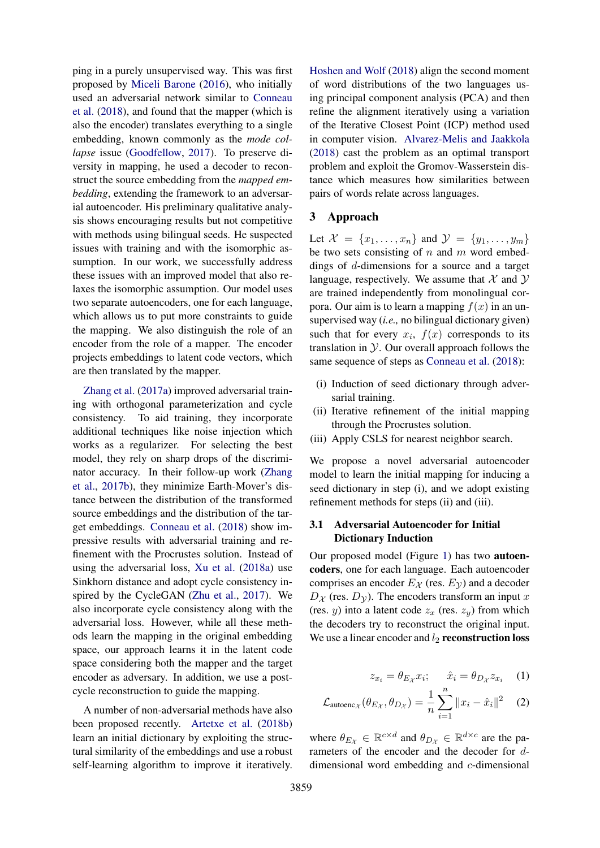ping in a purely unsupervised way. This was first proposed by Miceli Barone (2016), who initially used an adversarial network similar to Conneau et al. (2018), and found that the mapper (which is also the encoder) translates everything to a single embedding, known commonly as the *mode collapse* issue (Goodfellow, 2017). To preserve diversity in mapping, he used a decoder to reconstruct the source embedding from the *mapped embedding*, extending the framework to an adversarial autoencoder. His preliminary qualitative analysis shows encouraging results but not competitive with methods using bilingual seeds. He suspected issues with training and with the isomorphic assumption. In our work, we successfully address these issues with an improved model that also relaxes the isomorphic assumption. Our model uses two separate autoencoders, one for each language, which allows us to put more constraints to guide the mapping. We also distinguish the role of an encoder from the role of a mapper. The encoder projects embeddings to latent code vectors, which are then translated by the mapper.

Zhang et al. (2017a) improved adversarial training with orthogonal parameterization and cycle consistency. To aid training, they incorporate additional techniques like noise injection which works as a regularizer. For selecting the best model, they rely on sharp drops of the discriminator accuracy. In their follow-up work (Zhang et al., 2017b), they minimize Earth-Mover's distance between the distribution of the transformed source embeddings and the distribution of the target embeddings. Conneau et al. (2018) show impressive results with adversarial training and refinement with the Procrustes solution. Instead of using the adversarial loss, Xu et al. (2018a) use Sinkhorn distance and adopt cycle consistency inspired by the CycleGAN (Zhu et al., 2017). We also incorporate cycle consistency along with the adversarial loss. However, while all these methods learn the mapping in the original embedding space, our approach learns it in the latent code space considering both the mapper and the target encoder as adversary. In addition, we use a postcycle reconstruction to guide the mapping.

A number of non-adversarial methods have also been proposed recently. Artetxe et al. (2018b) learn an initial dictionary by exploiting the structural similarity of the embeddings and use a robust self-learning algorithm to improve it iteratively.

Hoshen and Wolf (2018) align the second moment of word distributions of the two languages using principal component analysis (PCA) and then refine the alignment iteratively using a variation of the Iterative Closest Point (ICP) method used in computer vision. Alvarez-Melis and Jaakkola (2018) cast the problem as an optimal transport problem and exploit the Gromov-Wasserstein distance which measures how similarities between pairs of words relate across languages.

## 3 Approach

Let  $\mathcal{X} = \{x_1, ..., x_n\}$  and  $\mathcal{Y} = \{y_1, ..., y_m\}$ be two sets consisting of  $n$  and  $m$  word embeddings of d-dimensions for a source and a target language, respectively. We assume that  $\mathcal X$  and  $\mathcal Y$ are trained independently from monolingual corpora. Our aim is to learn a mapping  $f(x)$  in an unsupervised way (*i.e.,* no bilingual dictionary given) such that for every  $x_i$ ,  $f(x)$  corresponds to its translation in  $\mathcal Y$ . Our overall approach follows the same sequence of steps as Conneau et al. (2018):

- (i) Induction of seed dictionary through adversarial training.
- (ii) Iterative refinement of the initial mapping through the Procrustes solution.
- (iii) Apply CSLS for nearest neighbor search.

We propose a novel adversarial autoencoder model to learn the initial mapping for inducing a seed dictionary in step (i), and we adopt existing refinement methods for steps (ii) and (iii).

## 3.1 Adversarial Autoencoder for Initial Dictionary Induction

Our proposed model (Figure 1) has two autoencoders, one for each language. Each autoencoder comprises an encoder  $E_{\mathcal{X}}$  (res.  $E_{\mathcal{Y}}$ ) and a decoder  $D_{\mathcal{X}}$  (res.  $D_{\mathcal{Y}}$ ). The encoders transform an input x (res. y) into a latent code  $z_x$  (res.  $z_y$ ) from which the decoders try to reconstruct the original input. We use a linear encoder and  $l_2$  reconstruction loss

$$
z_{x_i} = \theta_{E_{\mathcal{X}}} x_i; \qquad \hat{x}_i = \theta_{D_{\mathcal{X}}} z_{x_i} \tag{1}
$$

$$
\mathcal{L}_{\text{autoenc}_{\mathcal{X}}}(\theta_{E_{\mathcal{X}}}, \theta_{D_{\mathcal{X}}}) = \frac{1}{n} \sum_{i=1}^{n} ||x_i - \hat{x}_i||^2 \quad (2)
$$

where  $\theta_{E_{\mathcal{X}}} \in \mathbb{R}^{c \times d}$  and  $\theta_{D_{\mathcal{X}}} \in \mathbb{R}^{d \times c}$  are the parameters of the encoder and the decoder for ddimensional word embedding and c-dimensional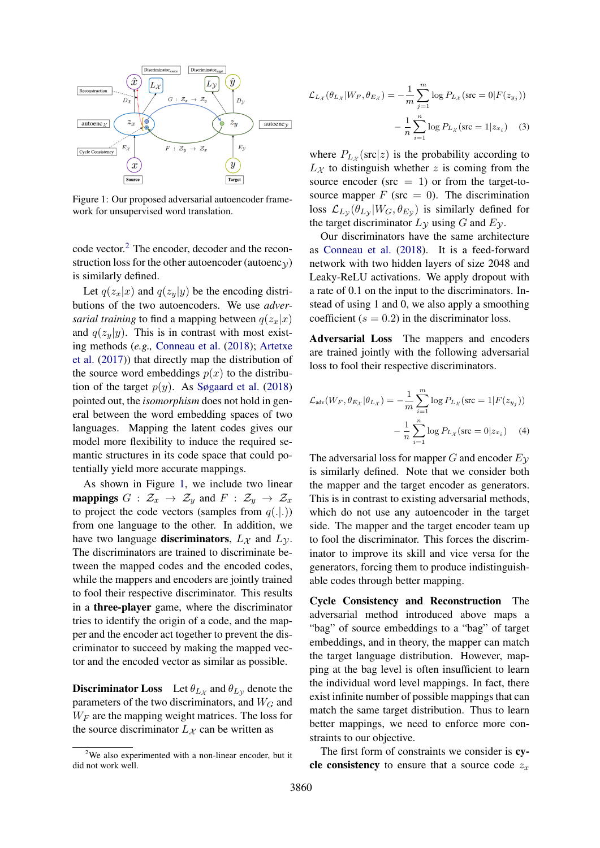

Figure 1: Our proposed adversarial autoencoder framework for unsupervised word translation.

code vector.<sup>2</sup> The encoder, decoder and the reconstruction loss for the other autoencoder (autoenc $y$ ) is similarly defined.

Let  $q(z_x|x)$  and  $q(z_y|y)$  be the encoding distributions of the two autoencoders. We use *adversarial training* to find a mapping between  $q(z_x|x)$ and  $q(z_y|y)$ . This is in contrast with most existing methods (*e.g.,* Conneau et al. (2018); Artetxe et al. (2017)) that directly map the distribution of the source word embeddings  $p(x)$  to the distribution of the target  $p(y)$ . As Søgaard et al. (2018) pointed out, the *isomorphism* does not hold in general between the word embedding spaces of two languages. Mapping the latent codes gives our model more flexibility to induce the required semantic structures in its code space that could potentially yield more accurate mappings.

As shown in Figure 1, we include two linear **mappings**  $G : \mathcal{Z}_x \to \mathcal{Z}_y$  and  $F : \mathcal{Z}_y \to \mathcal{Z}_x$ to project the code vectors (samples from  $q(.|.)$ ) from one language to the other. In addition, we have two language **discriminators**,  $L_{\mathcal{X}}$  and  $L_{\mathcal{Y}}$ . The discriminators are trained to discriminate between the mapped codes and the encoded codes, while the mappers and encoders are jointly trained to fool their respective discriminator. This results in a three-player game, where the discriminator tries to identify the origin of a code, and the mapper and the encoder act together to prevent the discriminator to succeed by making the mapped vector and the encoded vector as similar as possible.

**Discriminator Loss** Let  $\theta_{L_X}$  and  $\theta_{L_Y}$  denote the parameters of the two discriminators, and  $W_G$  and  $W_F$  are the mapping weight matrices. The loss for the source discriminator  $L_{\mathcal{X}}$  can be written as

$$
\mathcal{L}_{L_{\mathcal{X}}}(\theta_{L_{\mathcal{X}}}|W_{F}, \theta_{E_{\mathcal{X}}}) = -\frac{1}{m} \sum_{j=1}^{m} \log P_{L_{\mathcal{X}}}(\text{src} = 0|F(z_{y_{j}}))
$$

$$
-\frac{1}{n} \sum_{i=1}^{n} \log P_{L_{\mathcal{X}}}(\text{src} = 1|z_{x_{i}}) \quad (3)
$$

where  $P_{L_X}(\text{src}|z)$  is the probability according to  $L_X$  to distinguish whether z is coming from the source encoder ( $src = 1$ ) or from the target-tosource mapper  $F$  (src = 0). The discrimination loss  $\mathcal{L}_{Ly}(\theta_{Ly}|W_G, \theta_{Ey})$  is similarly defined for the target discriminator  $L<sub>y</sub>$  using G and  $E<sub>y</sub>$ .

Our discriminators have the same architecture as Conneau et al. (2018). It is a feed-forward network with two hidden layers of size 2048 and Leaky-ReLU activations. We apply dropout with a rate of 0.1 on the input to the discriminators. Instead of using 1 and 0, we also apply a smoothing coefficient ( $s = 0.2$ ) in the discriminator loss.

Adversarial Loss The mappers and encoders are trained jointly with the following adversarial loss to fool their respective discriminators.

$$
\mathcal{L}_{\text{adv}}(W_F, \theta_{E_{\mathcal{X}}} | \theta_{L_{\mathcal{X}}}) = -\frac{1}{m} \sum_{i=1}^{m} \log P_{L_{\mathcal{X}}}(\text{src} = 1 | F(z_{y_j}))
$$

$$
- \frac{1}{n} \sum_{i=1}^{n} \log P_{L_{\mathcal{X}}}(\text{src} = 0 | z_{x_i}) \quad (4)
$$

The adversarial loss for mapper G and encoder  $E_{\mathcal{V}}$ is similarly defined. Note that we consider both the mapper and the target encoder as generators. This is in contrast to existing adversarial methods, which do not use any autoencoder in the target side. The mapper and the target encoder team up to fool the discriminator. This forces the discriminator to improve its skill and vice versa for the generators, forcing them to produce indistinguishable codes through better mapping.

Cycle Consistency and Reconstruction The adversarial method introduced above maps a "bag" of source embeddings to a "bag" of target embeddings, and in theory, the mapper can match the target language distribution. However, mapping at the bag level is often insufficient to learn the individual word level mappings. In fact, there exist infinite number of possible mappings that can match the same target distribution. Thus to learn better mappings, we need to enforce more constraints to our objective.

The first form of constraints we consider is cycle consistency to ensure that a source code  $z_x$ 

 $2$ We also experimented with a non-linear encoder, but it did not work well.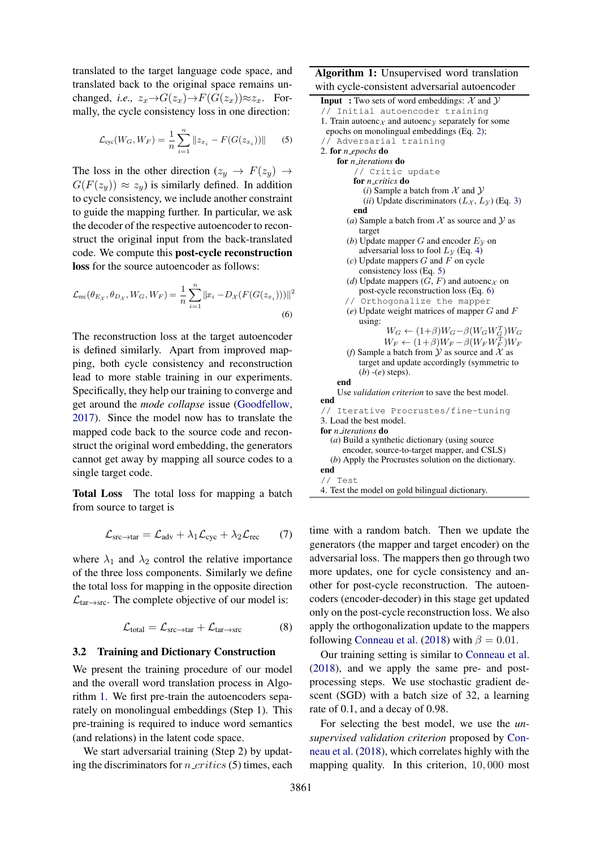translated to the target language code space, and translated back to the original space remains unchanged, *i.e.*,  $z_x \rightarrow G(z_x) \rightarrow F(G(z_x)) \approx z_x$ . Formally, the cycle consistency loss in one direction:

$$
\mathcal{L}_{\text{cyc}}(W_G, W_F) = \frac{1}{n} \sum_{i=1}^{n} ||z_{x_i} - F(G(z_{x_i}))|| \qquad (5)
$$

The loss in the other direction  $(z_u \rightarrow F(z_u) \rightarrow$  $G(F(z_y)) \approx z_y$  is similarly defined. In addition to cycle consistency, we include another constraint to guide the mapping further. In particular, we ask the decoder of the respective autoencoder to reconstruct the original input from the back-translated code. We compute this post-cycle reconstruction loss for the source autoencoder as follows:

$$
\mathcal{L}_{\text{rec}}(\theta_{E_{\mathcal{X}}}, \theta_{D_{\mathcal{X}}}, W_{G}, W_{F}) = \frac{1}{n} \sum_{i=1}^{n} ||x_{i} - D_{\mathcal{X}}(F(G(z_{x_{i}})))||^{2}
$$
\n(6)

The reconstruction loss at the target autoencoder is defined similarly. Apart from improved mapping, both cycle consistency and reconstruction lead to more stable training in our experiments. Specifically, they help our training to converge and get around the *mode collapse* issue (Goodfellow, 2017). Since the model now has to translate the mapped code back to the source code and reconstruct the original word embedding, the generators cannot get away by mapping all source codes to a single target code.

Total Loss The total loss for mapping a batch from source to target is

$$
\mathcal{L}_{\text{src}\to\text{tar}} = \mathcal{L}_{\text{adv}} + \lambda_1 \mathcal{L}_{\text{cyc}} + \lambda_2 \mathcal{L}_{\text{rec}} \qquad (7)
$$

where  $\lambda_1$  and  $\lambda_2$  control the relative importance of the three loss components. Similarly we define the total loss for mapping in the opposite direction  $\mathcal{L}_{\text{tar}\rightarrow\text{src}}$ . The complete objective of our model is:

$$
\mathcal{L}_{total} = \mathcal{L}_{src \to tar} + \mathcal{L}_{tar \to src} \tag{8}
$$

#### 3.2 Training and Dictionary Construction

We present the training procedure of our model and the overall word translation process in Algorithm 1. We first pre-train the autoencoders separately on monolingual embeddings (Step 1). This pre-training is required to induce word semantics (and relations) in the latent code space.

We start adversarial training (Step 2) by updating the discriminators for  $n\_critics$  (5) times, each

Algorithm 1: Unsupervised word translation with cycle-consistent adversarial autoencoder

| <b>Input</b> : Two sets of word embeddings: $X$ and $Y$                                     |
|---------------------------------------------------------------------------------------------|
| // Initial autoencoder training                                                             |
| 1. Train autoenc $\chi$ and autoency separately for some                                    |
| epochs on monolingual embeddings (Eq. 2);                                                   |
| // Adversarial training                                                                     |
| 2. for <i>n_epochs</i> do                                                                   |
| for <i>n_iterations</i> do                                                                  |
| // Critic update                                                                            |
| for <i>n_critics</i> do                                                                     |
| ( <i>i</i> ) Sample a batch from $X$ and $Y$                                                |
| (ii) Update discriminators $(L_X, L_Y)$ (Eq. 3)                                             |
| end                                                                                         |
| (a) Sample a batch from $X$ as source and $Y$ as<br>target                                  |
| (b) Update mapper G and encoder $EV$ on                                                     |
| adversarial loss to fool $Ly$ (Eq. 4)                                                       |
| $(c)$ Update mappers G and F on cycle                                                       |
| consistency loss (Eq. 5)                                                                    |
|                                                                                             |
| (d) Update mappers $(G, F)$ and autoenc $\chi$ on<br>post-cycle reconstruction loss (Eq. 6) |
|                                                                                             |
| // Orthogonalize the mapper<br>$(e)$ Update weight matrices of mapper $G$ and $F$           |
| using:                                                                                      |
| $W_G \leftarrow (1+\beta)W_G - \beta(W_GW_G^T)W_G$                                          |
| $W_F \leftarrow (1+\beta)W_F - \beta(W_F W_F^T)W_F$                                         |
| (f) Sample a batch from $\mathcal Y$ as source and $\mathcal X$ as                          |
| target and update accordingly (symmetric to                                                 |
| $(b)$ - $(e)$ steps).                                                                       |
| end                                                                                         |
| Use <i>validation criterion</i> to save the best model.                                     |
| end                                                                                         |
| // Iterative Procrustes/fine-tuning                                                         |
| 3. Load the best model.                                                                     |
| for <i>n_iterations</i> do                                                                  |
| (a) Build a synthetic dictionary (using source                                              |
| encoder, source-to-target mapper, and CSLS)                                                 |
| (b) Apply the Procrustes solution on the dictionary.                                        |
| end                                                                                         |
| // Test                                                                                     |
| 4. Test the model on gold bilingual dictionary.                                             |

time with a random batch. Then we update the generators (the mapper and target encoder) on the adversarial loss. The mappers then go through two more updates, one for cycle consistency and another for post-cycle reconstruction. The autoencoders (encoder-decoder) in this stage get updated only on the post-cycle reconstruction loss. We also apply the orthogonalization update to the mappers following Conneau et al. (2018) with  $\beta = 0.01$ .

Our training setting is similar to Conneau et al. (2018), and we apply the same pre- and postprocessing steps. We use stochastic gradient descent (SGD) with a batch size of 32, a learning rate of 0.1, and a decay of 0.98.

For selecting the best model, we use the *unsupervised validation criterion* proposed by Conneau et al. (2018), which correlates highly with the mapping quality. In this criterion, 10, 000 most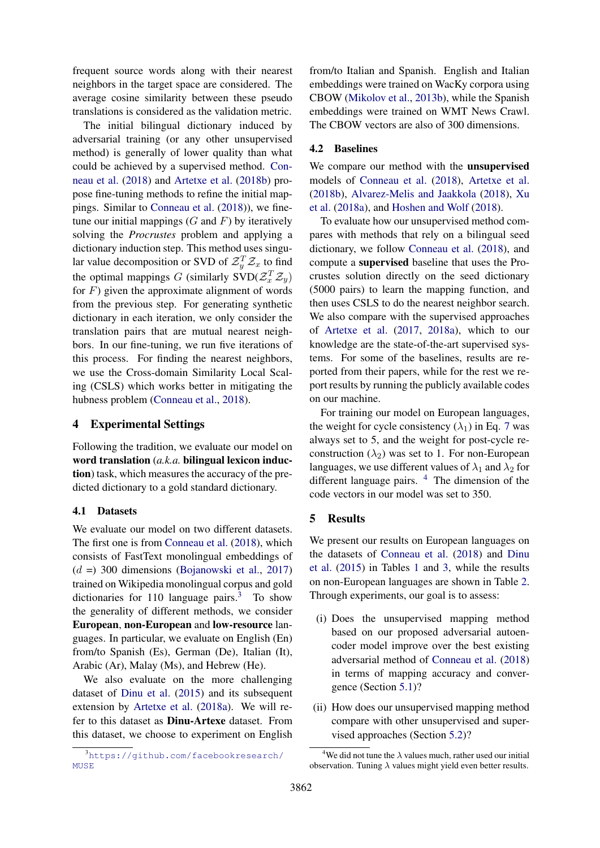frequent source words along with their nearest neighbors in the target space are considered. The average cosine similarity between these pseudo translations is considered as the validation metric.

The initial bilingual dictionary induced by adversarial training (or any other unsupervised method) is generally of lower quality than what could be achieved by a supervised method. Conneau et al. (2018) and Artetxe et al. (2018b) propose fine-tuning methods to refine the initial mappings. Similar to Conneau et al. (2018)), we finetune our initial mappings  $(G \text{ and } F)$  by iteratively solving the *Procrustes* problem and applying a dictionary induction step. This method uses singular value decomposition or SVD of  $\mathcal{Z}_y^T \mathcal{Z}_x$  to find the optimal mappings G (similarly  $SVD(\mathcal{Z}_x^T\mathcal{Z}_y)$ for  $F$ ) given the approximate alignment of words from the previous step. For generating synthetic dictionary in each iteration, we only consider the translation pairs that are mutual nearest neighbors. In our fine-tuning, we run five iterations of this process. For finding the nearest neighbors, we use the Cross-domain Similarity Local Scaling (CSLS) which works better in mitigating the hubness problem (Conneau et al., 2018).

# 4 Experimental Settings

Following the tradition, we evaluate our model on word translation (*a.k.a.* bilingual lexicon induction) task, which measures the accuracy of the predicted dictionary to a gold standard dictionary.

## 4.1 Datasets

We evaluate our model on two different datasets. The first one is from Conneau et al. (2018), which consists of FastText monolingual embeddings of  $(d =)$  300 dimensions (Bojanowski et al., 2017) trained on Wikipedia monolingual corpus and gold dictionaries for 110 language pairs.<sup>3</sup> To show the generality of different methods, we consider European, non-European and low-resource languages. In particular, we evaluate on English (En) from/to Spanish (Es), German (De), Italian (It), Arabic (Ar), Malay (Ms), and Hebrew (He).

We also evaluate on the more challenging dataset of Dinu et al. (2015) and its subsequent extension by Artetxe et al. (2018a). We will refer to this dataset as Dinu-Artexe dataset. From this dataset, we choose to experiment on English

from/to Italian and Spanish. English and Italian embeddings were trained on WacKy corpora using CBOW (Mikolov et al., 2013b), while the Spanish embeddings were trained on WMT News Crawl. The CBOW vectors are also of 300 dimensions.

## 4.2 Baselines

We compare our method with the unsupervised models of Conneau et al. (2018), Artetxe et al. (2018b), Alvarez-Melis and Jaakkola (2018), Xu et al. (2018a), and Hoshen and Wolf (2018).

To evaluate how our unsupervised method compares with methods that rely on a bilingual seed dictionary, we follow Conneau et al. (2018), and compute a supervised baseline that uses the Procrustes solution directly on the seed dictionary (5000 pairs) to learn the mapping function, and then uses CSLS to do the nearest neighbor search. We also compare with the supervised approaches of Artetxe et al. (2017, 2018a), which to our knowledge are the state-of-the-art supervised systems. For some of the baselines, results are reported from their papers, while for the rest we report results by running the publicly available codes on our machine.

For training our model on European languages, the weight for cycle consistency  $(\lambda_1)$  in Eq. 7 was always set to 5, and the weight for post-cycle reconstruction  $(\lambda_2)$  was set to 1. For non-European languages, we use different values of  $\lambda_1$  and  $\lambda_2$  for different language pairs.  $4$  The dimension of the code vectors in our model was set to 350.

## 5 Results

We present our results on European languages on the datasets of Conneau et al. (2018) and Dinu et al. (2015) in Tables 1 and 3, while the results on non-European languages are shown in Table 2. Through experiments, our goal is to assess:

- (i) Does the unsupervised mapping method based on our proposed adversarial autoencoder model improve over the best existing adversarial method of Conneau et al. (2018) in terms of mapping accuracy and convergence (Section 5.1)?
- (ii) How does our unsupervised mapping method compare with other unsupervised and supervised approaches (Section 5.2)?

<sup>3</sup>https://github.com/facebookresearch/ MUSE

<sup>&</sup>lt;sup>4</sup>We did not tune the  $\lambda$  values much, rather used our initial observation. Tuning  $\lambda$  values might yield even better results.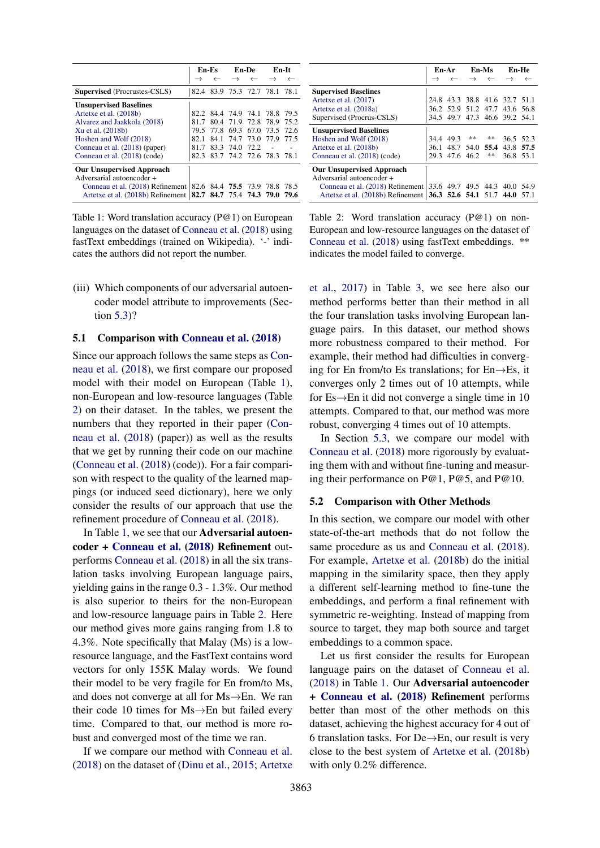|                                                        |       | En-Es                    |                | En-De     | En-It                         |      |
|--------------------------------------------------------|-------|--------------------------|----------------|-----------|-------------------------------|------|
|                                                        |       |                          |                |           |                               |      |
| <b>Supervised</b> (Procrustes-CSLS)                    |       |                          |                |           | 82.4 83.9 75.3 72.7 78.1 78.1 |      |
| <b>Unsupervised Baselines</b>                          |       |                          |                |           |                               |      |
| Artetxe et al. (2018b)                                 |       |                          |                |           | 82.2 84.4 74.9 74.1 78.8 79.5 |      |
| Alvarez and Jaakkola (2018)                            | 81 7  |                          | 80.4 71.9 72.8 |           | 78.9 75.2                     |      |
| Xu et al. (2018b)                                      | 79.5  | 77.8                     | 69.3           | 67.0      | 73.5                          | 72.6 |
| Hoshen and Wolf (2018)                                 | 82. 1 | 84.1                     |                | 74.7 73.0 | 77.9 77.5                     |      |
| Conneau et al. (2018) (paper)                          | 81 7  |                          | 83.3 74.0 72.2 |           |                               |      |
| Conneau et al. (2018) (code)                           |       |                          |                |           | 82.3 83.7 74.2 72.6 78.3 78.1 |      |
| <b>Our Unsupervised Approach</b>                       |       |                          |                |           |                               |      |
| Adversarial autoencoder +                              |       |                          |                |           |                               |      |
| Conneau et al. (2018) Refinement                       |       | 82.6 84.4 75.5 73.9 78.8 |                |           |                               | 78.5 |
| Artetxe et al. $(2018b)$ Refinement $\vert 82.7 \vert$ |       |                          |                |           | 84.7 75.4 74.3 79.0 79.6      |      |

Table 1: Word translation accuracy (P@1) on European languages on the dataset of Conneau et al. (2018) using fastText embeddings (trained on Wikipedia). '-' indicates the authors did not report the number.

(iii) Which components of our adversarial autoencoder model attribute to improvements (Section 5.3)?

## 5.1 Comparison with Conneau et al. (2018)

Since our approach follows the same steps as Conneau et al. (2018), we first compare our proposed model with their model on European (Table 1), non-European and low-resource languages (Table 2) on their dataset. In the tables, we present the numbers that they reported in their paper (Conneau et al. (2018) (paper)) as well as the results that we get by running their code on our machine (Conneau et al. (2018) (code)). For a fair comparison with respect to the quality of the learned mappings (or induced seed dictionary), here we only consider the results of our approach that use the refinement procedure of Conneau et al. (2018).

In Table 1, we see that our Adversarial autoencoder + Conneau et al. (2018) Refinement outperforms Conneau et al. (2018) in all the six translation tasks involving European language pairs, yielding gains in the range 0.3 - 1.3%. Our method is also superior to theirs for the non-European and low-resource language pairs in Table 2. Here our method gives more gains ranging from 1.8 to 4.3%. Note specifically that Malay (Ms) is a lowresource language, and the FastText contains word vectors for only 155K Malay words. We found their model to be very fragile for En from/to Ms, and does not converge at all for Ms→En. We ran their code 10 times for Ms→En but failed every time. Compared to that, our method is more robust and converged most of the time we ran.

If we compare our method with Conneau et al. (2018) on the dataset of (Dinu et al., 2015; Artetxe

|                                                                                                       |      | En-Ar En-Ms |           |                | <b>En-He</b>                  |      |
|-------------------------------------------------------------------------------------------------------|------|-------------|-----------|----------------|-------------------------------|------|
|                                                                                                       |      |             |           |                |                               |      |
| <b>Supervised Baselines</b>                                                                           |      |             |           |                |                               |      |
| Artetxe et al. (2017)                                                                                 |      |             |           |                | 24.8 43.3 38.8 41.6 32.7 51.1 |      |
| Artetxe et al. (2018a)                                                                                |      |             |           |                | 36.2 52.9 51.2 47.7 43.6 56.8 |      |
| Supervised (Procrus-CSLS)                                                                             |      |             |           |                | 34.5 49.7 47.3 46.6 39.2 54.1 |      |
| <b>Unsupervised Baselines</b>                                                                         |      |             |           |                |                               |      |
| Hoshen and Wolf (2018)                                                                                |      | 34.4 49.3   | **        | **             | 36.5 52.3                     |      |
| Artetxe et al. (2018b)                                                                                | 36.1 |             |           | 48.7 54.0 55.4 | 43.8                          | 57.5 |
| Conneau et al. (2018) (code)                                                                          | 29.3 |             | 47.6 46.2 | **             | 36.8 53.1                     |      |
| <b>Our Unsupervised Approach</b><br>Adversarial autoencoder +                                         |      |             |           |                |                               |      |
| Conneau et al. (2018) Refinement<br>Artetxe et al. (2018b) Refinement   36.3 52.6 54.1 51.7 44.0 57.1 |      |             |           |                | 33.6 49.7 49.5 44.3 40.0 54.9 |      |

Table 2: Word translation accuracy (P@1) on non-European and low-resource languages on the dataset of Conneau et al. (2018) using fastText embeddings. \*\* indicates the model failed to converge.

et al., 2017) in Table 3, we see here also our method performs better than their method in all the four translation tasks involving European language pairs. In this dataset, our method shows more robustness compared to their method. For example, their method had difficulties in converging for En from/to Es translations; for En→Es, it converges only 2 times out of 10 attempts, while for  $Es \rightarrow En$  it did not converge a single time in 10 attempts. Compared to that, our method was more robust, converging 4 times out of 10 attempts.

In Section 5.3, we compare our model with Conneau et al. (2018) more rigorously by evaluating them with and without fine-tuning and measuring their performance on P@1, P@5, and P@10.

#### 5.2 Comparison with Other Methods

In this section, we compare our model with other state-of-the-art methods that do not follow the same procedure as us and Conneau et al. (2018). For example, Artetxe et al. (2018b) do the initial mapping in the similarity space, then they apply a different self-learning method to fine-tune the embeddings, and perform a final refinement with symmetric re-weighting. Instead of mapping from source to target, they map both source and target embeddings to a common space.

Let us first consider the results for European language pairs on the dataset of Conneau et al. (2018) in Table 1. Our Adversarial autoencoder + Conneau et al. (2018) Refinement performs better than most of the other methods on this dataset, achieving the highest accuracy for 4 out of 6 translation tasks. For De $\rightarrow$ En, our result is very close to the best system of Artetxe et al. (2018b) with only 0.2% difference.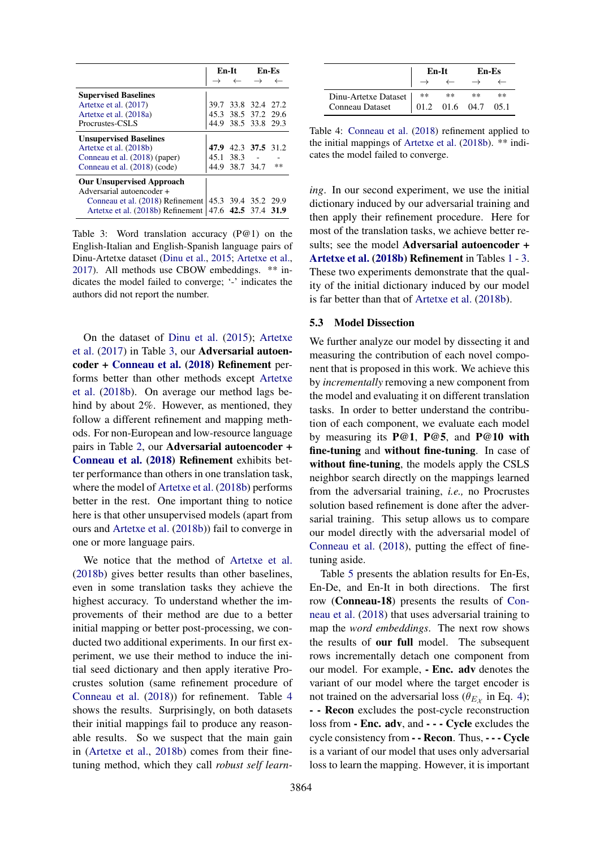|                                                         |                     | En-It En-Es   |    |  |
|---------------------------------------------------------|---------------------|---------------|----|--|
|                                                         |                     | $\rightarrow$ |    |  |
| <b>Supervised Baselines</b>                             |                     |               |    |  |
| Artetxe et al. (2017)                                   | 39.7 33.8 32.4 27.2 |               |    |  |
| Artetxe et al. (2018a)                                  | 45.3 38.5 37.2 29.6 |               |    |  |
| Procrustes-CSLS                                         | 44.9 38.5 33.8 29.3 |               |    |  |
| <b>Unsupervised Baselines</b>                           |                     |               |    |  |
| Artetxe et al. (2018b)                                  | 47.9 42.3 37.5 31.2 |               |    |  |
| Conneau et al. (2018) (paper)                           | $45.1$ $38.3$ -     |               |    |  |
| Conneau et al. (2018) (code)                            | 44.9 38.7 34.7      |               | ** |  |
| <b>Our Unsupervised Approach</b>                        |                     |               |    |  |
| Adversarial autoencoder +                               |                     |               |    |  |
| Conneau et al. (2018) Refinement                        | 45.3 39.4 35.2 29.9 |               |    |  |
| Artetxe et al. (2018b) Refinement   47.6 42.5 37.4 31.9 |                     |               |    |  |

Table 3: Word translation accuracy (P@1) on the English-Italian and English-Spanish language pairs of Dinu-Artetxe dataset (Dinu et al., 2015; Artetxe et al., 2017). All methods use CBOW embeddings. \*\* indicates the model failed to converge; '-' indicates the authors did not report the number.

On the dataset of Dinu et al. (2015); Artetxe et al. (2017) in Table 3, our Adversarial autoencoder + Conneau et al. (2018) Refinement performs better than other methods except Artetxe et al. (2018b). On average our method lags behind by about 2%. However, as mentioned, they follow a different refinement and mapping methods. For non-European and low-resource language pairs in Table 2, our Adversarial autoencoder + Conneau et al. (2018) Refinement exhibits better performance than others in one translation task, where the model of Artetxe et al. (2018b) performs better in the rest. One important thing to notice here is that other unsupervised models (apart from ours and Artetxe et al. (2018b)) fail to converge in one or more language pairs.

We notice that the method of Artetxe et al. (2018b) gives better results than other baselines, even in some translation tasks they achieve the highest accuracy. To understand whether the improvements of their method are due to a better initial mapping or better post-processing, we conducted two additional experiments. In our first experiment, we use their method to induce the initial seed dictionary and then apply iterative Procrustes solution (same refinement procedure of Conneau et al. (2018)) for refinement. Table 4 shows the results. Surprisingly, on both datasets their initial mappings fail to produce any reasonable results. So we suspect that the main gain in (Artetxe et al., 2018b) comes from their finetuning method, which they call *robust self learn-*

|                           |                                                             | En-It | En-Es |      |
|---------------------------|-------------------------------------------------------------|-------|-------|------|
|                           |                                                             |       |       |      |
| Dinu-Artetxe Dataset   ** |                                                             | **    | **    | $**$ |
| Conneau Dataset           | $\begin{array}{ ccc} 01.2 & 01.6 & 04.7 & 05.1 \end{array}$ |       |       |      |

Table 4: Conneau et al. (2018) refinement applied to the initial mappings of Artetxe et al. (2018b). \*\* indicates the model failed to converge.

*ing*. In our second experiment, we use the initial dictionary induced by our adversarial training and then apply their refinement procedure. Here for most of the translation tasks, we achieve better results; see the model Adversarial autoencoder + Artetxe et al. (2018b) Refinement in Tables 1 - 3. These two experiments demonstrate that the quality of the initial dictionary induced by our model is far better than that of Artetxe et al. (2018b).

## 5.3 Model Dissection

We further analyze our model by dissecting it and measuring the contribution of each novel component that is proposed in this work. We achieve this by *incrementally* removing a new component from the model and evaluating it on different translation tasks. In order to better understand the contribution of each component, we evaluate each model by measuring its P@1, P@5, and P@10 with fine-tuning and without fine-tuning. In case of without fine-tuning, the models apply the CSLS neighbor search directly on the mappings learned from the adversarial training, *i.e.,* no Procrustes solution based refinement is done after the adversarial training. This setup allows us to compare our model directly with the adversarial model of Conneau et al. (2018), putting the effect of finetuning aside.

Table 5 presents the ablation results for En-Es, En-De, and En-It in both directions. The first row (Conneau-18) presents the results of Conneau et al. (2018) that uses adversarial training to map the *word embeddings*. The next row shows the results of our full model. The subsequent rows incrementally detach one component from our model. For example, - Enc. adv denotes the variant of our model where the target encoder is not trained on the adversarial loss ( $\theta_{E\chi}$  in Eq. 4); - - Recon excludes the post-cycle reconstruction loss from - Enc. adv, and - - - Cycle excludes the cycle consistency from - - Recon. Thus, - - - Cycle is a variant of our model that uses only adversarial loss to learn the mapping. However, it is important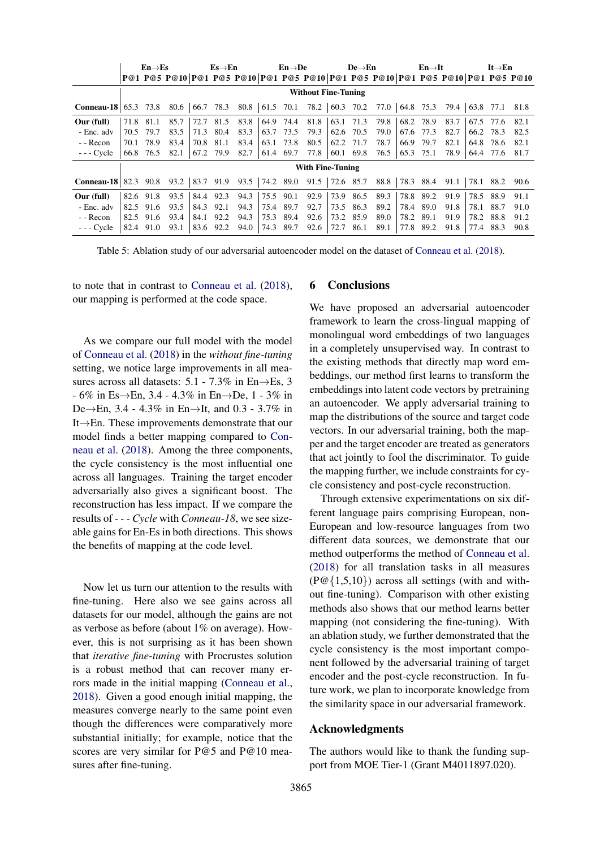|                             | $En \rightarrow Es$        |                         | $Es \rightarrow En$ |      |           |      | $En \rightarrow De$ |      |                                                                                               | $De \rightarrow En$ |           |                                                                                                                                               | $En \rightarrow It$ |           |      | $It \rightarrow En$ |           |      |
|-----------------------------|----------------------------|-------------------------|---------------------|------|-----------|------|---------------------|------|-----------------------------------------------------------------------------------------------|---------------------|-----------|-----------------------------------------------------------------------------------------------------------------------------------------------|---------------------|-----------|------|---------------------|-----------|------|
|                             |                            |                         |                     |      |           |      |                     |      |                                                                                               |                     |           | P@1 P@5 P@10   P@1 P@5 P@10   P@1 P@5 P@10   P@1 P@5 P@10   P@5 P@10   P@1 P@5 P@10                                                           |                     |           |      |                     |           |      |
|                             | <b>Without Fine-Tuning</b> |                         |                     |      |           |      |                     |      |                                                                                               |                     |           |                                                                                                                                               |                     |           |      |                     |           |      |
| <b>Conneau-18</b> 65.3 73.8 |                            |                         | 80.6                |      |           |      |                     |      |                                                                                               |                     |           | $\begin{array}{ccccccccc} 66.7 & 78.3 & 80.8 & 61.5 & 70.1 & 78.2 & 60.3 & 70.2 & 77.0 & 64.8 & 75.3 & 79.4 & 63.8 & 77.1 & 81.8 \end{array}$ |                     |           |      |                     |           |      |
| Our (full)                  | 71.8                       | 81.1                    | 85.7                | 72.7 | 81.5      | 83.8 | 64.9                | 74.4 | 81.8                                                                                          |                     | 63.1 71.3 | 79.8                                                                                                                                          | 68.2                | 78.9      | 83.7 |                     | 67.5 77.6 | 82.1 |
| - Enc. adv                  | 70.5                       | 79.7                    | 83.5                | 71.3 | 80.4      | 83.3 | 63.7                | 73.5 | 79.3                                                                                          | 62.6                | 70.5      | 79.0                                                                                                                                          | 67.6                | 77.3      | 82.7 | 66.2                | 78.3      | 82.5 |
| - - Recon                   | 70.1                       | 78.9                    | 83.4                | 70.8 | 81.1      | 83.4 | 63.1                | 73.8 | 80.5                                                                                          |                     | 62.2 71.7 | 78.7                                                                                                                                          | 66.9                | 79.7      | 82.1 | 64.8                | 78.6      | 82.1 |
| $- -$ Cycle                 | 66.8                       | 76.5                    | 82.1                | 67.2 | 79.9      | 82.7 | 61.4                | 69.7 | 77.8                                                                                          |                     | 60.1 69.8 | 76.5                                                                                                                                          | 65.3                | 75.1      | 78.9 |                     | 64.4 77.6 | 81.7 |
|                             |                            | <b>With Fine-Tuning</b> |                     |      |           |      |                     |      |                                                                                               |                     |           |                                                                                                                                               |                     |           |      |                     |           |      |
| <b>Conneau-18</b> 82.3 90.8 |                            |                         | 93.2                |      | 83.7 91.9 | 93.5 |                     |      | $\begin{array}{ c c c c c c c c } \hline 74.2 & 89.0 & 91.5 & 72.6 & 85.7 \hline \end{array}$ |                     |           | 88.8                                                                                                                                          |                     | 78.3 88.4 | 91.1 | 78.1                | 88.2      | 90.6 |
| Our (full)                  |                            | 82.6 91.8               | 93.5                | 84.4 | 92.3      | 94.3 | 75.5                | 90.1 | 92.9                                                                                          | 73.9                | 86.5      | 89.3                                                                                                                                          | 78.8                | 89.2      | 91.9 | 78.5                | 88.9      | 91.1 |
| - Enc. adv                  | 82.5                       | 91.6                    | 93.5                | 84.3 | 92.1      | 94.3 | 75.4                | 89.7 | 92.7                                                                                          | 73.5                | 86.3      | 89.2                                                                                                                                          | 78.4                | 89.0      | 91.8 | 78.1                | 88.7      | 91.0 |
| - - Recon                   | 82.5                       | 91.6                    | 93.4                | 84.1 | 92.2      | 94.3 | 75.3                | 89.4 | 92.6                                                                                          | 73.2                | 85.9      | 89.0                                                                                                                                          | 78.2                | 89.1      | 91.9 | 78.2                | 88.8      | 91.2 |
| $- -$ Cycle                 | 82.4                       | 91.0                    | 93.1                | 83.6 | 92.2      | 94.0 | 74.3                | 89.7 | 92.6                                                                                          | 72.7                | 86.1      | 89.1                                                                                                                                          | 77.8                | 89.2      | 91.8 | 77.4                | 88.3      | 90.8 |

Table 5: Ablation study of our adversarial autoencoder model on the dataset of Conneau et al. (2018).

to note that in contrast to Conneau et al. (2018), our mapping is performed at the code space.

As we compare our full model with the model of Conneau et al. (2018) in the *without fine-tuning* setting, we notice large improvements in all measures across all datasets:  $5.1 - 7.3\%$  in En $\rightarrow$ Es, 3 - 6% in Es→En, 3.4 - 4.3% in En→De, 1 - 3% in De→En, 3.4 - 4.3% in En→It, and 0.3 - 3.7% in It→En. These improvements demonstrate that our model finds a better mapping compared to Conneau et al. (2018). Among the three components, the cycle consistency is the most influential one across all languages. Training the target encoder adversarially also gives a significant boost. The reconstruction has less impact. If we compare the results of *- - - Cycle* with *Conneau-18*, we see sizeable gains for En-Es in both directions. This shows the benefits of mapping at the code level.

Now let us turn our attention to the results with fine-tuning. Here also we see gains across all datasets for our model, although the gains are not as verbose as before (about 1% on average). However, this is not surprising as it has been shown that *iterative fine-tuning* with Procrustes solution is a robust method that can recover many errors made in the initial mapping (Conneau et al., 2018). Given a good enough initial mapping, the measures converge nearly to the same point even though the differences were comparatively more substantial initially; for example, notice that the scores are very similar for P@5 and P@10 measures after fine-tuning.

## 6 Conclusions

We have proposed an adversarial autoencoder framework to learn the cross-lingual mapping of monolingual word embeddings of two languages in a completely unsupervised way. In contrast to the existing methods that directly map word embeddings, our method first learns to transform the embeddings into latent code vectors by pretraining an autoencoder. We apply adversarial training to map the distributions of the source and target code vectors. In our adversarial training, both the mapper and the target encoder are treated as generators that act jointly to fool the discriminator. To guide the mapping further, we include constraints for cycle consistency and post-cycle reconstruction.

Through extensive experimentations on six different language pairs comprising European, non-European and low-resource languages from two different data sources, we demonstrate that our method outperforms the method of Conneau et al. (2018) for all translation tasks in all measures (P@{1,5,10}) across all settings (with and without fine-tuning). Comparison with other existing methods also shows that our method learns better mapping (not considering the fine-tuning). With an ablation study, we further demonstrated that the cycle consistency is the most important component followed by the adversarial training of target encoder and the post-cycle reconstruction. In future work, we plan to incorporate knowledge from the similarity space in our adversarial framework.

#### Acknowledgments

The authors would like to thank the funding support from MOE Tier-1 (Grant M4011897.020).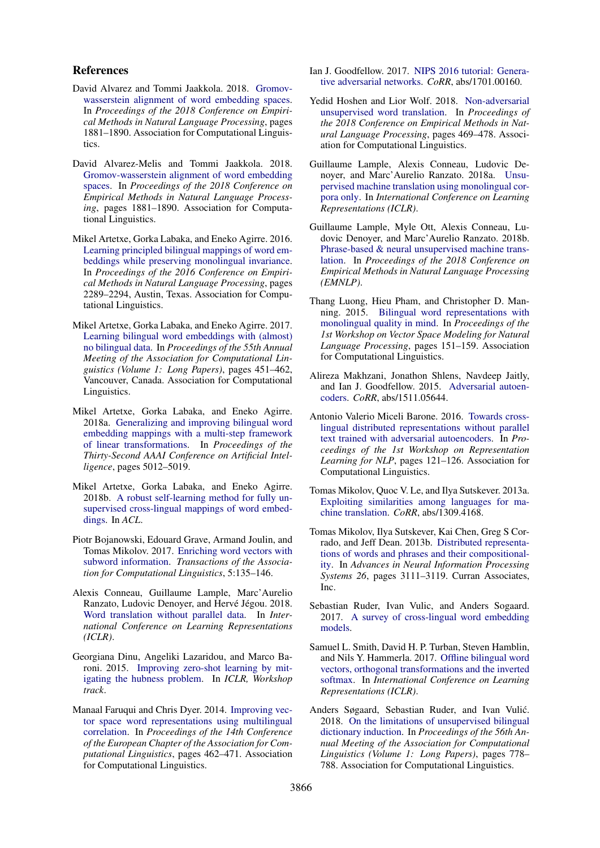### References

- David Alvarez and Tommi Jaakkola. 2018. Gromovwasserstein alignment of word embedding spaces. In *Proceedings of the 2018 Conference on Empirical Methods in Natural Language Processing*, pages 1881–1890. Association for Computational Linguistics.
- David Alvarez-Melis and Tommi Jaakkola. 2018. Gromov-wasserstein alignment of word embedding spaces. In *Proceedings of the 2018 Conference on Empirical Methods in Natural Language Processing*, pages 1881–1890. Association for Computational Linguistics.
- Mikel Artetxe, Gorka Labaka, and Eneko Agirre. 2016. Learning principled bilingual mappings of word embeddings while preserving monolingual invariance. In *Proceedings of the 2016 Conference on Empirical Methods in Natural Language Processing*, pages 2289–2294, Austin, Texas. Association for Computational Linguistics.
- Mikel Artetxe, Gorka Labaka, and Eneko Agirre. 2017. Learning bilingual word embeddings with (almost) no bilingual data. In *Proceedings of the 55th Annual Meeting of the Association for Computational Linguistics (Volume 1: Long Papers)*, pages 451–462, Vancouver, Canada. Association for Computational Linguistics.
- Mikel Artetxe, Gorka Labaka, and Eneko Agirre. 2018a. Generalizing and improving bilingual word embedding mappings with a multi-step framework of linear transformations. In *Proceedings of the Thirty-Second AAAI Conference on Artificial Intelligence*, pages 5012–5019.
- Mikel Artetxe, Gorka Labaka, and Eneko Agirre. 2018b. A robust self-learning method for fully unsupervised cross-lingual mappings of word embeddings. In *ACL*.
- Piotr Bojanowski, Edouard Grave, Armand Joulin, and Tomas Mikolov. 2017. Enriching word vectors with subword information. *Transactions of the Association for Computational Linguistics*, 5:135–146.
- Alexis Conneau, Guillaume Lample, Marc'Aurelio Ranzato, Ludovic Denoyer, and Hervé Jégou. 2018. Word translation without parallel data. In *International Conference on Learning Representations (ICLR)*.
- Georgiana Dinu, Angeliki Lazaridou, and Marco Baroni. 2015. Improving zero-shot learning by mitigating the hubness problem. In *ICLR, Workshop track*.
- Manaal Faruqui and Chris Dyer. 2014. Improving vector space word representations using multilingual correlation. In *Proceedings of the 14th Conference of the European Chapter of the Association for Computational Linguistics*, pages 462–471. Association for Computational Linguistics.
- Ian J. Goodfellow. 2017. NIPS 2016 tutorial: Generative adversarial networks. *CoRR*, abs/1701.00160.
- Yedid Hoshen and Lior Wolf. 2018. Non-adversarial unsupervised word translation. In *Proceedings of the 2018 Conference on Empirical Methods in Natural Language Processing*, pages 469–478. Association for Computational Linguistics.
- Guillaume Lample, Alexis Conneau, Ludovic Denoyer, and Marc'Aurelio Ranzato. 2018a. Unsupervised machine translation using monolingual corpora only. In *International Conference on Learning Representations (ICLR)*.
- Guillaume Lample, Myle Ott, Alexis Conneau, Ludovic Denoyer, and Marc'Aurelio Ranzato. 2018b. Phrase-based & neural unsupervised machine translation. In *Proceedings of the 2018 Conference on Empirical Methods in Natural Language Processing (EMNLP)*.
- Thang Luong, Hieu Pham, and Christopher D. Manning. 2015. Bilingual word representations with monolingual quality in mind. In *Proceedings of the 1st Workshop on Vector Space Modeling for Natural Language Processing*, pages 151–159. Association for Computational Linguistics.
- Alireza Makhzani, Jonathon Shlens, Navdeep Jaitly, and Ian J. Goodfellow. 2015. Adversarial autoencoders. *CoRR*, abs/1511.05644.
- Antonio Valerio Miceli Barone. 2016. Towards crosslingual distributed representations without parallel text trained with adversarial autoencoders. In *Proceedings of the 1st Workshop on Representation Learning for NLP*, pages 121–126. Association for Computational Linguistics.
- Tomas Mikolov, Quoc V. Le, and Ilya Sutskever. 2013a. Exploiting similarities among languages for machine translation. *CoRR*, abs/1309.4168.
- Tomas Mikolov, Ilya Sutskever, Kai Chen, Greg S Corrado, and Jeff Dean. 2013b. Distributed representations of words and phrases and their compositionality. In *Advances in Neural Information Processing Systems 26*, pages 3111–3119. Curran Associates, Inc.
- Sebastian Ruder, Ivan Vulic, and Anders Sogaard. 2017. A survey of cross-lingual word embedding models.
- Samuel L. Smith, David H. P. Turban, Steven Hamblin, and Nils Y. Hammerla. 2017. Offline bilingual word vectors, orthogonal transformations and the inverted softmax. In *International Conference on Learning Representations (ICLR)*.
- Anders Søgaard, Sebastian Ruder, and Ivan Vulić. 2018. On the limitations of unsupervised bilingual dictionary induction. In *Proceedings of the 56th Annual Meeting of the Association for Computational Linguistics (Volume 1: Long Papers)*, pages 778– 788. Association for Computational Linguistics.